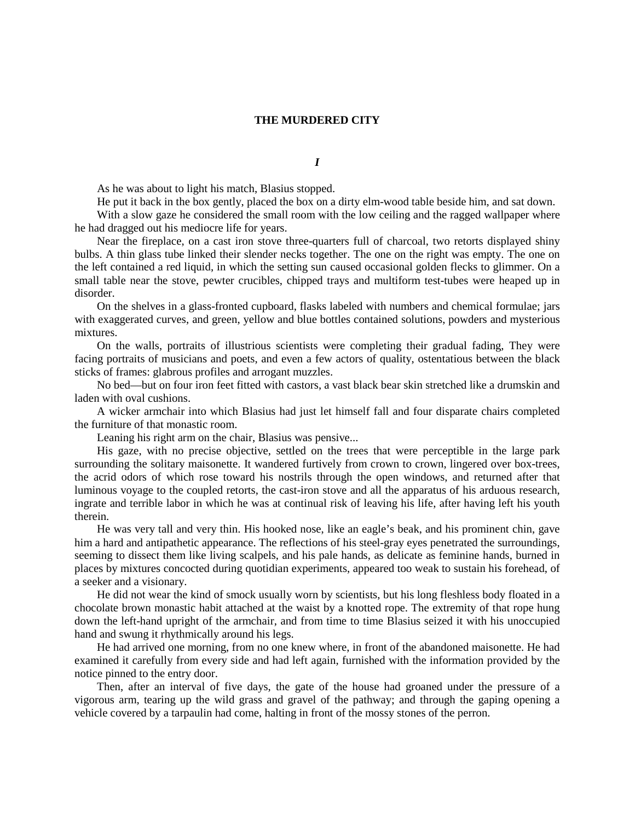## **THE MURDERED CITY**

*I*

As he was about to light his match, Blasius stopped.

He put it back in the box gently, placed the box on a dirty elm-wood table beside him, and sat down.

With a slow gaze he considered the small room with the low ceiling and the ragged wallpaper where he had dragged out his mediocre life for years.

Near the fireplace, on a cast iron stove three-quarters full of charcoal, two retorts displayed shiny bulbs. A thin glass tube linked their slender necks together. The one on the right was empty. The one on the left contained a red liquid, in which the setting sun caused occasional golden flecks to glimmer. On a small table near the stove, pewter crucibles, chipped trays and multiform test-tubes were heaped up in disorder.

On the shelves in a glass-fronted cupboard, flasks labeled with numbers and chemical formulae; jars with exaggerated curves, and green, yellow and blue bottles contained solutions, powders and mysterious mixtures.

On the walls, portraits of illustrious scientists were completing their gradual fading, They were facing portraits of musicians and poets, and even a few actors of quality, ostentatious between the black sticks of frames: glabrous profiles and arrogant muzzles.

No bed—but on four iron feet fitted with castors, a vast black bear skin stretched like a drumskin and laden with oval cushions.

A wicker armchair into which Blasius had just let himself fall and four disparate chairs completed the furniture of that monastic room.

Leaning his right arm on the chair, Blasius was pensive...

His gaze, with no precise objective, settled on the trees that were perceptible in the large park surrounding the solitary maisonette. It wandered furtively from crown to crown, lingered over box-trees, the acrid odors of which rose toward his nostrils through the open windows, and returned after that luminous voyage to the coupled retorts, the cast-iron stove and all the apparatus of his arduous research, ingrate and terrible labor in which he was at continual risk of leaving his life, after having left his youth therein.

He was very tall and very thin. His hooked nose, like an eagle's beak, and his prominent chin, gave him a hard and antipathetic appearance. The reflections of his steel-gray eyes penetrated the surroundings, seeming to dissect them like living scalpels, and his pale hands, as delicate as feminine hands, burned in places by mixtures concocted during quotidian experiments, appeared too weak to sustain his forehead, of a seeker and a visionary.

He did not wear the kind of smock usually worn by scientists, but his long fleshless body floated in a chocolate brown monastic habit attached at the waist by a knotted rope. The extremity of that rope hung down the left-hand upright of the armchair, and from time to time Blasius seized it with his unoccupied hand and swung it rhythmically around his legs.

He had arrived one morning, from no one knew where, in front of the abandoned maisonette. He had examined it carefully from every side and had left again, furnished with the information provided by the notice pinned to the entry door.

Then, after an interval of five days, the gate of the house had groaned under the pressure of a vigorous arm, tearing up the wild grass and gravel of the pathway; and through the gaping opening a vehicle covered by a tarpaulin had come, halting in front of the mossy stones of the perron.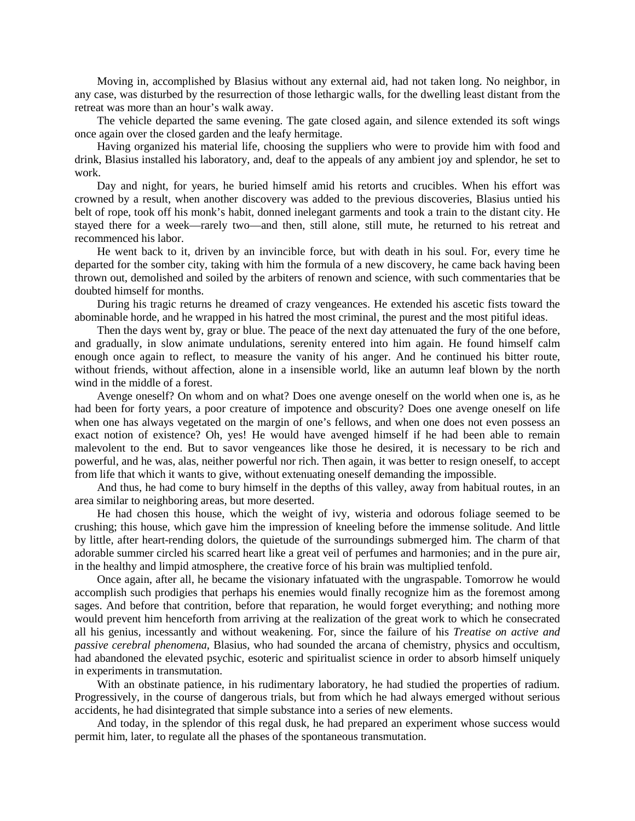Moving in, accomplished by Blasius without any external aid, had not taken long. No neighbor, in any case, was disturbed by the resurrection of those lethargic walls, for the dwelling least distant from the retreat was more than an hour's walk away.

The vehicle departed the same evening. The gate closed again, and silence extended its soft wings once again over the closed garden and the leafy hermitage.

Having organized his material life, choosing the suppliers who were to provide him with food and drink, Blasius installed his laboratory, and, deaf to the appeals of any ambient joy and splendor, he set to work.

Day and night, for years, he buried himself amid his retorts and crucibles. When his effort was crowned by a result, when another discovery was added to the previous discoveries, Blasius untied his belt of rope, took off his monk's habit, donned inelegant garments and took a train to the distant city. He stayed there for a week—rarely two—and then, still alone, still mute, he returned to his retreat and recommenced his labor.

He went back to it, driven by an invincible force, but with death in his soul. For, every time he departed for the somber city, taking with him the formula of a new discovery, he came back having been thrown out, demolished and soiled by the arbiters of renown and science, with such commentaries that be doubted himself for months.

During his tragic returns he dreamed of crazy vengeances. He extended his ascetic fists toward the abominable horde, and he wrapped in his hatred the most criminal, the purest and the most pitiful ideas.

Then the days went by, gray or blue. The peace of the next day attenuated the fury of the one before, and gradually, in slow animate undulations, serenity entered into him again. He found himself calm enough once again to reflect, to measure the vanity of his anger. And he continued his bitter route, without friends, without affection, alone in a insensible world, like an autumn leaf blown by the north wind in the middle of a forest.

Avenge oneself? On whom and on what? Does one avenge oneself on the world when one is, as he had been for forty years, a poor creature of impotence and obscurity? Does one avenge oneself on life when one has always vegetated on the margin of one's fellows, and when one does not even possess an exact notion of existence? Oh, yes! He would have avenged himself if he had been able to remain malevolent to the end. But to savor vengeances like those he desired, it is necessary to be rich and powerful, and he was, alas, neither powerful nor rich. Then again, it was better to resign oneself, to accept from life that which it wants to give, without extenuating oneself demanding the impossible.

And thus, he had come to bury himself in the depths of this valley, away from habitual routes, in an area similar to neighboring areas, but more deserted.

He had chosen this house, which the weight of ivy, wisteria and odorous foliage seemed to be crushing; this house, which gave him the impression of kneeling before the immense solitude. And little by little, after heart-rending dolors, the quietude of the surroundings submerged him. The charm of that adorable summer circled his scarred heart like a great veil of perfumes and harmonies; and in the pure air, in the healthy and limpid atmosphere, the creative force of his brain was multiplied tenfold.

Once again, after all, he became the visionary infatuated with the ungraspable. Tomorrow he would accomplish such prodigies that perhaps his enemies would finally recognize him as the foremost among sages. And before that contrition, before that reparation, he would forget everything; and nothing more would prevent him henceforth from arriving at the realization of the great work to which he consecrated all his genius, incessantly and without weakening. For, since the failure of his *Treatise on active and passive cerebral phenomena*, Blasius, who had sounded the arcana of chemistry, physics and occultism, had abandoned the elevated psychic, esoteric and spiritualist science in order to absorb himself uniquely in experiments in transmutation.

With an obstinate patience, in his rudimentary laboratory, he had studied the properties of radium. Progressively, in the course of dangerous trials, but from which he had always emerged without serious accidents, he had disintegrated that simple substance into a series of new elements.

And today, in the splendor of this regal dusk, he had prepared an experiment whose success would permit him, later, to regulate all the phases of the spontaneous transmutation.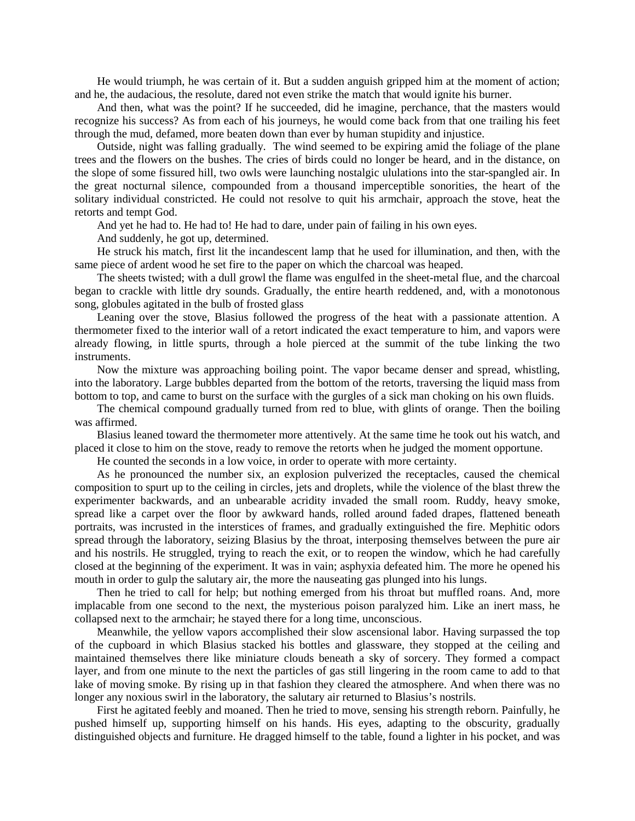He would triumph, he was certain of it. But a sudden anguish gripped him at the moment of action; and he, the audacious, the resolute, dared not even strike the match that would ignite his burner.

And then, what was the point? If he succeeded, did he imagine, perchance, that the masters would recognize his success? As from each of his journeys, he would come back from that one trailing his feet through the mud, defamed, more beaten down than ever by human stupidity and injustice.

Outside, night was falling gradually. The wind seemed to be expiring amid the foliage of the plane trees and the flowers on the bushes. The cries of birds could no longer be heard, and in the distance, on the slope of some fissured hill, two owls were launching nostalgic ululations into the star-spangled air. In the great nocturnal silence, compounded from a thousand imperceptible sonorities, the heart of the solitary individual constricted. He could not resolve to quit his armchair, approach the stove, heat the retorts and tempt God.

And yet he had to. He had to! He had to dare, under pain of failing in his own eyes.

And suddenly, he got up, determined.

He struck his match, first lit the incandescent lamp that he used for illumination, and then, with the same piece of ardent wood he set fire to the paper on which the charcoal was heaped.

The sheets twisted; with a dull growl the flame was engulfed in the sheet-metal flue, and the charcoal began to crackle with little dry sounds. Gradually, the entire hearth reddened, and, with a monotonous song, globules agitated in the bulb of frosted glass

Leaning over the stove, Blasius followed the progress of the heat with a passionate attention. A thermometer fixed to the interior wall of a retort indicated the exact temperature to him, and vapors were already flowing, in little spurts, through a hole pierced at the summit of the tube linking the two instruments.

Now the mixture was approaching boiling point. The vapor became denser and spread, whistling, into the laboratory. Large bubbles departed from the bottom of the retorts, traversing the liquid mass from bottom to top, and came to burst on the surface with the gurgles of a sick man choking on his own fluids.

The chemical compound gradually turned from red to blue, with glints of orange. Then the boiling was affirmed.

Blasius leaned toward the thermometer more attentively. At the same time he took out his watch, and placed it close to him on the stove, ready to remove the retorts when he judged the moment opportune.

He counted the seconds in a low voice, in order to operate with more certainty.

As he pronounced the number six, an explosion pulverized the receptacles, caused the chemical composition to spurt up to the ceiling in circles, jets and droplets, while the violence of the blast threw the experimenter backwards, and an unbearable acridity invaded the small room. Ruddy, heavy smoke, spread like a carpet over the floor by awkward hands, rolled around faded drapes, flattened beneath portraits, was incrusted in the interstices of frames, and gradually extinguished the fire. Mephitic odors spread through the laboratory, seizing Blasius by the throat, interposing themselves between the pure air and his nostrils. He struggled, trying to reach the exit, or to reopen the window, which he had carefully closed at the beginning of the experiment. It was in vain; asphyxia defeated him. The more he opened his mouth in order to gulp the salutary air, the more the nauseating gas plunged into his lungs.

Then he tried to call for help; but nothing emerged from his throat but muffled roans. And, more implacable from one second to the next, the mysterious poison paralyzed him. Like an inert mass, he collapsed next to the armchair; he stayed there for a long time, unconscious.

Meanwhile, the yellow vapors accomplished their slow ascensional labor. Having surpassed the top of the cupboard in which Blasius stacked his bottles and glassware, they stopped at the ceiling and maintained themselves there like miniature clouds beneath a sky of sorcery. They formed a compact layer, and from one minute to the next the particles of gas still lingering in the room came to add to that lake of moving smoke. By rising up in that fashion they cleared the atmosphere. And when there was no longer any noxious swirl in the laboratory, the salutary air returned to Blasius's nostrils.

First he agitated feebly and moaned. Then he tried to move, sensing his strength reborn. Painfully, he pushed himself up, supporting himself on his hands. His eyes, adapting to the obscurity, gradually distinguished objects and furniture. He dragged himself to the table, found a lighter in his pocket, and was